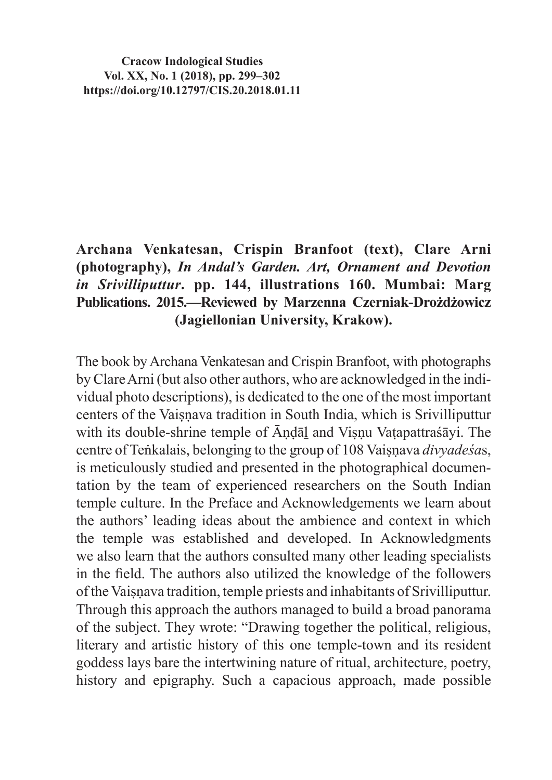**Cracow Indological Studies Vol. XX, No. 1 (2018), pp. 299–302 https://doi.org/10.12797/CIS.20.2018.01.11**

## **Archana Venkatesan, Crispin Branfoot (text), Clare Arni (photography),** *In Andal's Garden. Art, Ornament and Devotion in Srivilliputtur***. pp. 144, illustrations 160. Mumbai: Marg Publications. 2015.—Reviewed by Marzenna Czerniak-Drożdżowicz (Jagiellonian University, Krakow).**

The book by Archana Venkatesan and Crispin Branfoot, with photographs by ClareArni (but also other authors, who are acknowledged in the individual photo descriptions), is dedicated to the one of the most important centers of the Vaiṣṇava tradition in South India, which is Srivilliputtur with its double-shrine temple of  $\bar{A}$ ndāl and Visnu Vatapattraśāyi. The centre of Teṅkalais, belonging to the group of 108 Vaisnava *divyadesas*, is meticulously studied and presented in the photographical documentation by the team of experienced researchers on the South Indian temple culture. In the Preface and Acknowledgements we learn about the authors' leading ideas about the ambience and context in which the temple was established and developed. In Acknowledgments we also learn that the authors consulted many other leading specialists in the field. The authors also utilized the knowledge of the followers oftheVaiṣṇava tradition, temple priests and inhabitants of Srivilliputtur. Through this approach the authors managed to build a broad panorama of the subject. They wrote: "Drawing together the political, religious, literary and artistic history of this one temple-town and its resident goddess lays bare the intertwining nature of ritual, architecture, poetry, history and epigraphy. Such a capacious approach, made possible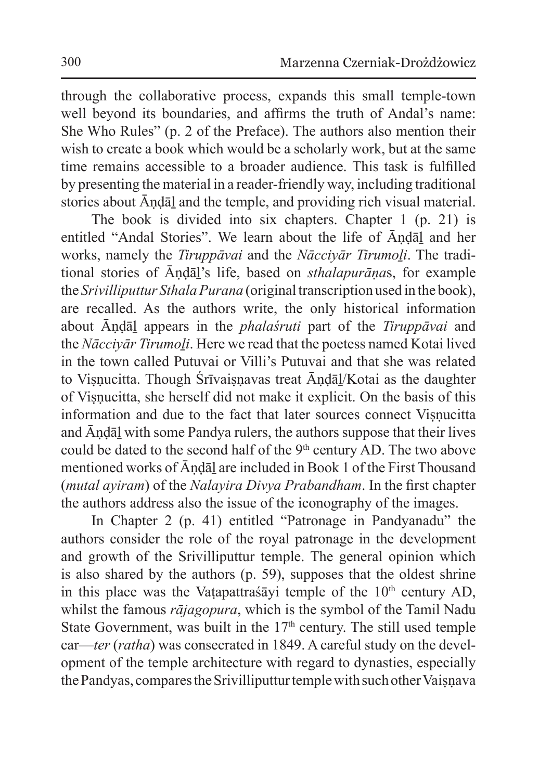through the collaborative process, expands this small temple-town well beyond its boundaries, and affirms the truth of Andal's name: She Who Rules" (p. 2 of the Preface). The authors also mention their wish to create a book which would be a scholarly work, but at the same time remains accessible to a broader audience. This task is fulfilled by presenting the material in a reader-friendly way, including traditional stories about Āṇḍāḻ and the temple, and providing rich visual material.

The book is divided into six chapters. Chapter 1 (p. 21) is entitled "Andal Stories". We learn about the life of Āṇḍāḻ and her works, namely the *Tiruppāvai* and the *Nāccivār Tirumoli*. The traditional stories of Āṇḍāḻ's life, based on *sthalapurāṇa*s, for example the *Srivilliputtur Sthala Purana* (original transcription used in the book), are recalled. As the authors write, the only historical information about Āṇḍāḻ appears in the *phalaśruti* part of the *Tiruppāvai* and the *Nācciyār Tirumoḻi*. Here we read that the poetess named Kotai lived in the town called Putuvai or Villi's Putuvai and that she was related to Visnucitta. Though Śrīvaisnavas treat Āndāl/Kotai as the daughter of Viṣṇucitta, she herself did not make it explicit. On the basis of this information and due to the fact that later sources connect Visnucitta and Āṇḍāḻ with some Pandya rulers, the authors suppose that their lives could be dated to the second half of the 9<sup>th</sup> century AD. The two above mentioned works of Āṇḍāḻ are included in Book 1 of the First Thousand (*mutal ayiram*) of the *Nalayira Divya Prabandham*. In the first chapter the authors address also the issue of the iconography of the images.

In Chapter 2 (p. 41) entitled "Patronage in Pandyanadu" the authors consider the role of the royal patronage in the development and growth of the Srivilliputtur temple. The general opinion which is also shared by the authors (p. 59), supposes that the oldest shrine in this place was the Vaṭapattraśāyi temple of the  $10<sup>th</sup>$  century AD, whilst the famous *rājagopura*, which is the symbol of the Tamil Nadu State Government, was built in the  $17<sup>th</sup>$  century. The still used temple car—*ter* (*ratha*) was consecrated in 1849. A careful study on the development of the temple architecture with regard to dynasties, especially the Pandyas, compares the Srivilliputtur temple with such other Vaisnava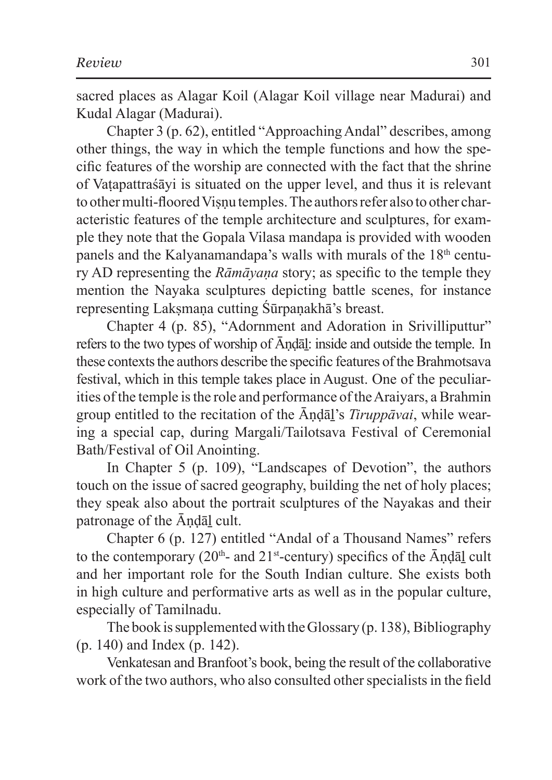sacred places as Alagar Koil (Alagar Koil village near Madurai) and Kudal Alagar (Madurai).

Chapter 3 (p. 62), entitled "Approaching Andal" describes, among other things, the way in which the temple functions and how the specific features of the worship are connected with the fact that the shrine of Vaṭapattraśāyi is situated on the upper level, and thus it is relevant to other multi-floored Visnu temples. The authors refer also to other characteristic features of the temple architecture and sculptures, for example they note that the Gopala Vilasa mandapa is provided with wooden panels and the Kalyanamandapa's walls with murals of the 18<sup>th</sup> century AD representing the *Rāmāyaṇa* story; as specific to the temple they mention the Nayaka sculptures depicting battle scenes, for instance representing Laksmana cutting Śūrpaṇakhā's breast.

Chapter 4 (p. 85), "Adornment and Adoration in Srivilliputtur" refers to the two types of worship of Āṇḍāḻ: inside and outside the temple. In these contexts the authors describe the specific features of the Brahmotsava festival, which in this temple takes place in August. One of the peculiarities of the temple is the role and performance of the Araiyars, a Brahmin group entitled to the recitation of the Āṇḍāḻ's *Tiruppāvai*, while wearing a special cap, during Margali/Tailotsava Festival of Ceremonial Bath/Festival of Oil Anointing.

In Chapter 5 (p. 109), "Landscapes of Devotion", the authors touch on the issue of sacred geography, building the net of holy places; they speak also about the portrait sculptures of the Nayakas and their patronage of the Āṇḍāḻ cult.

Chapter 6 (p. 127) entitled "Andal of a Thousand Names" refers to the contemporary ( $20<sup>th</sup>$ - and  $21<sup>st</sup>$ -century) specifics of the  $\bar{A}$ ndal cult and her important role for the South Indian culture. She exists both in high culture and performative arts as well as in the popular culture, especially of Tamilnadu.

The book is supplemented with the Glossary (p. 138), Bibliography (p. 140) and Index (p. 142).

Venkatesan and Branfoot's book, being the result of the collaborative work of the two authors, who also consulted other specialists in the field